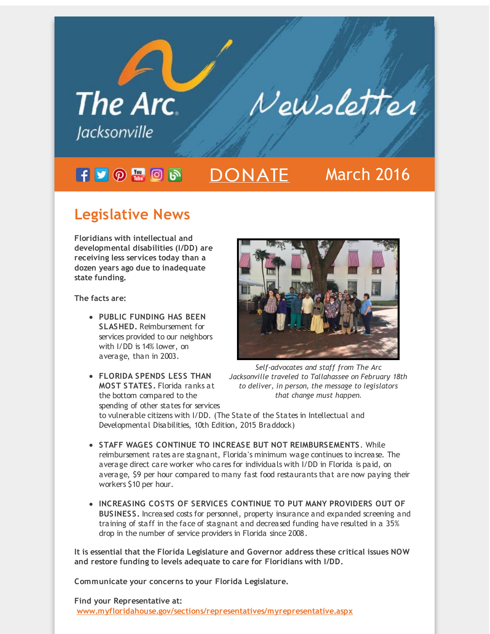

# **Legislative News**

**Floridians with intellectual and developmental disabilities (I/DD) are receiving less services today than a dozen years ago due to inadequate state funding.**

**The facts are:**

- **PUBLIC FUNDING HAS BEEN SLASHED.** Reimbursement for services provided to our neighbors with I/DD is 14% lower, on average, than in 2003.
- **FLORIDA SPENDS LESS THAN MOST STATES.** Florida ranks at the bottom compared to the spending of other states for services



*Self-advocates and staff from The Arc Jacksonville traveled to Tallahassee on February 18th to deliver, in person, the message to legislators that change must happen.*

to vulnerable citizens with I/DD. (The State of the States in Intellectual and Developmental Disabilities, 10th Edition, 2015 Braddock)

- **STAFF WAGES CONTINUE TO INCREASE BUT NOT REIMBURSEMENTS**. While reimbursement rates are stagnant, Florida's minimum wage continues to increase. The average direct care worker who cares for individuals with I/DD in Florida is paid, on average, \$9 per hour compared to many fast food restaurants that are now paying their workers \$10 per hour.
- **INCREASING COSTS OF SERVICES CONTINUE TO PUT MANY PROVIDERS OUT OF BUSINESS.** Increased costs for personnel, property insurance and expanded screening and training of staff in the face of stagnant and decreased funding have resulted in a 35% drop in the number of service providers in Florida since 2008.

**It is essential that the Florida Legislature and Governor address these critical issues NOW and restore funding to levels adequate to care for Floridians with I/DD.**

**Communicate your concerns to your Florida Legislature.**

**Find your Representative at: [www.myfloridahouse.gov/sections/representatives/myrepresentative.aspx](http://r20.rs6.net/tn.jsp?f=001frGi3El6d3qnEy0aqnEPFXqjQd26AI5_7uHGwj6OSGL7MepQscddzr0gqhOaGEMzIdjtg-s1jFOa4SGC3G_B06gv87g_jebvVtXTe_GJMi3hysW08yfidVBElg6f4MrjMnM-m_1-19ZYco515MJ7T9Puo18ZpXdlkZnrNvhj-OchgRRHcpswr5BHYiCheBXpc2q2xV5kO20oFyO9jxizQMlhQ3pL_JUedN6cXK1cB10uYzKrffNNb-UHv-9AVU4-3z5XPYDwYt0h93GQHNuvqDyBiHwugunGRWYCeoK7UH2Lmi8FBLylY72urJuE5NfQobkQl1L8zLwWyRDIeEC7asIvrVe0C8zNR9avOadOEfuiE5EyIYmaP1CeSc5r_HbpdINMFkGz6kY=&c=&ch=)**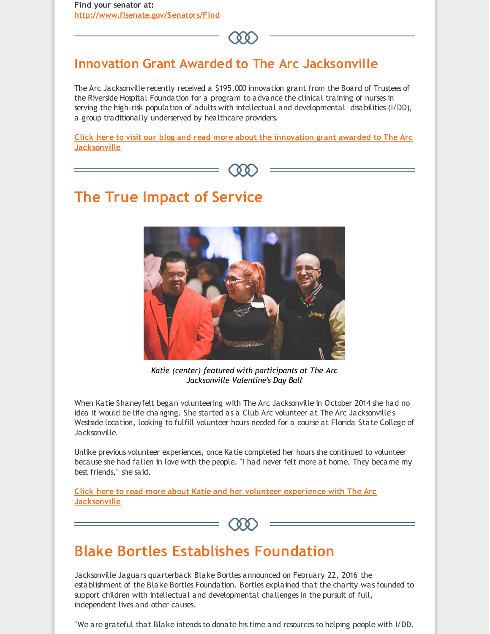**Find your senator at: [http://www.flsenate.gov/Senators/Find](http://r20.rs6.net/tn.jsp?f=001frGi3El6d3qnEy0aqnEPFXqjQd26AI5_7uHGwj6OSGL7MepQscddzr0gqhOaGEMz52LUi6ONHu0WJFt1kb3TLdLN60bMbPX8shEajdICiutUhLbxO8RNkNGQN1paURzVB81BH08eADcsyJB0FexpftRPOSYA7oNa2YeoOLl01DeI1VZAjQmLnOC6qb5nKKXRKiOnYaxJJF3Y-x9yWR4pYpvR4IG5pHZeBQdfVfqyQY0bHczYx2s9fx6-JjsXX68iHR9j27OxASGDFk6COGE1C2qRxtnqSnBwsnrax29YYMnA2pCT8VPNn9cTWEENTbZ5Jz-HbBsOm6JcW1b443-e3w==&c=&ch=)**



#### **Innovation Grant Awarded to The Arc Jacksonville**

The Arc Jacksonville recently received a \$195,000 innovation grant from the Board of Trustees of the Riverside Hospital Foundation for a program to advance the clinical training of nurses in serving the high-risk population of adults with intellectual and developmental disabilities (I/DD), a group traditionally underserved by healthcare providers.

**Click here to visit our blog and read more about the innovation grant awarded to The Arc [Jacksonville](http://r20.rs6.net/tn.jsp?f=001frGi3El6d3qnEy0aqnEPFXqjQd26AI5_7uHGwj6OSGL7MepQscddzoi9_pjni-Mt1brx-GV5skWEDIx3qBJN5q6rzfF5kfk_7-RH8rLpS-pHkMNoUqCCvzfoEXuiKRRXrMkgV9-zTbzNZjcb5R6BlqDtAz2vNBY_5Ixh92ud3K3YatRzH7p8qgosVLHiVip57dkFh7WOuk0b7JGpt_5Q1kE-nDsRZtI23A5zz4zq8ppP_EKlCE-TmGC_UGyxBS9QJPSTgv-5a-7ok6WC57g0PbzSXIsVJAnSSeWiutko8dt7CzX-RiWUkw3jMB7vvIvwaTypueuCw6m_1EtcE5MSVdaeVuCYOepPe-OoyblNho3nkjzNDrw3gw==&c=&ch=)**



# **The True Impact of Service**



*Katie (center) featured with participants at The Arc Jacksonville Valentine's Day Ball*

When Katie Shaneyfelt began volunteering with The Arc Jacksonville in October 2014 she had no idea it would be life changing. She started as a Club Arc volunteer at The Arc Jacksonville's Westside location, looking to fulfill volunteer hours needed for a course at Florida State College of Jacksonville.

Unlike previous volunteer experiences, once Katie completed her hours she continued to volunteer because she had fallen in love with the people. "I had never felt more at home. They became my best friends," she said.

**Click here to read more about Katie and her volunteer experience with The Arc [Jacksonville](http://r20.rs6.net/tn.jsp?f=001frGi3El6d3qnEy0aqnEPFXqjQd26AI5_7uHGwj6OSGL7MepQscddzlt84F_xKcCMH6P5O0Lh1sPKC9TL6ksXvqGFVS1ao106RSGgM9PmopXQEG82t6mYKEAVraMuP-ShLm4-3iNtiUkry5mHwDm2OkZWEt-wNN9nBSLT1ldhiBd1FwBAB5nosJX_fsdFCarr_cgL2rFvLmfo7RyeRR8y99FoTAZgc2TV9HP7nX5fvM67emPPFZR_VFRMD11-i_UxlLvKqs3ccCgoy4_yGbT6O819pRUnOnUazOSZcERRz2mCwt2ywb7CSU7zW49s9oovzE7VGms14-OIRXzZeWtZACjsgQFpDwTNi-pbvC9PxLI=&c=&ch=)**



### **Blake Bortles Establishes Foundation**

Jacksonville Jaguars quarterback Blake Bortles announced on February 22, 2016 the establishment of the Blake Bortles Foundation. Bortles explained that the charity was founded to support children with intellectual and developmental challenges in the pursuit of full, independent lives and other causes.

"We are grateful that Blake intends to donate his time and resources to helping people with I/DD.